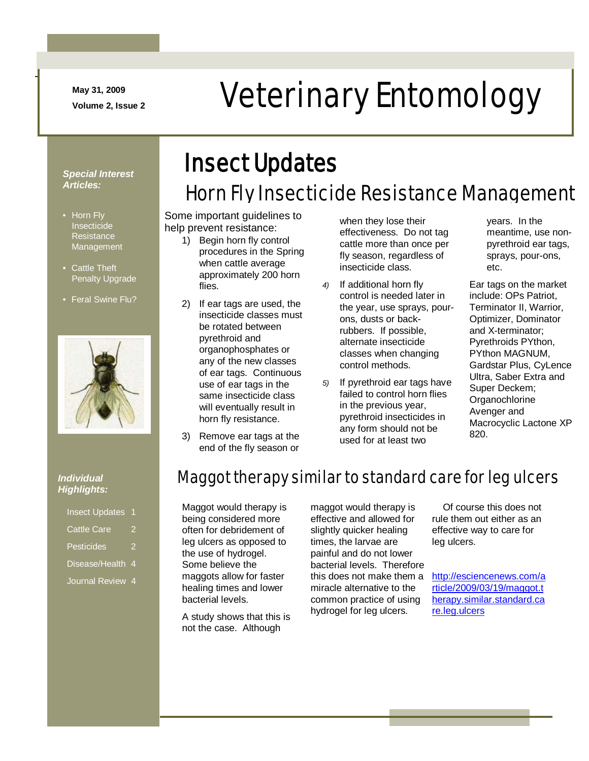**May 31, 2009**

-

# May 31, 2009<br>Veterinary Entomology

#### *Special Interest Articles:*

- Horn Fly Insecticide **Resistance** Management
- Cattle Theft Penalty Upgrade
- Feral Swine Flu?



## Insect Updates

### Horn Fly Insecticide Resistance Management

Some important guidelines to help prevent resistance:

- 1) Begin horn fly control procedures in the Spring when cattle average approximately 200 horn flies.
- 2) If ear tags are used, the insecticide classes must be rotated between pyrethroid and organophosphates or any of the new classes of ear tags. Continuous use of ear tags in the same insecticide class will eventually result in horn fly resistance.
- 3) Remove ear tags at the end of the fly season or

when they lose their effectiveness. Do not tag cattle more than once per fly season, regardless of insecticide class.

- *4)* If additional horn fly control is needed later in the year, use sprays, pourons, dusts or backrubbers. If possible, alternate insecticide classes when changing control methods.
- *5)* If pyrethroid ear tags have failed to control horn flies in the previous year, pyrethroid insecticides in any form should not be used for at least two

years. In the meantime, use nonpyrethroid ear tags, sprays, pour-ons, etc.

Ear tags on the market include: OPs Patriot, Terminator II, Warrior, Optimizer, Dominator and X-terminator; Pyrethroids PYthon, PYthon MAGNUM, Gardstar Plus, CyLence Ultra, Saber Extra and Super Deckem; **Organochlorine** Avenger and Macrocyclic Lactone XP 820.

#### *Individual Highlights:*

| <b>Insect Updates</b> | 1 |
|-----------------------|---|
| <b>Cattle Care</b>    |   |
| Pesticides            |   |
| Disease/Health 4      |   |

Journal Review 4

### Maggot therapy similar to standard care for leg ulcers

Maggot would therapy is being considered more often for debridement of leg ulcers as opposed to the use of hydrogel. Some believe the maggots allow for faster healing times and lower bacterial levels.

A study shows that this is not the case. Although

maggot would therapy is effective and allowed for slightly quicker healing times, the larvae are painful and do not lower bacterial levels. Therefore this does not make them a miracle alternative to the common practice of using hydrogel for leg ulcers.

 Of course this does not rule them out either as an effective way to care for leg ulcers.

[http://esciencenews.com/a](http://esciencenews.com/article/2009/03/19/maggot.therapy.similar.standard.care.leg.ulcers) [rticle/2009/03/19/maggot.t](http://esciencenews.com/article/2009/03/19/maggot.therapy.similar.standard.care.leg.ulcers) [herapy.similar.standard.ca](http://esciencenews.com/article/2009/03/19/maggot.therapy.similar.standard.care.leg.ulcers) [re.leg.ulcers](http://esciencenews.com/article/2009/03/19/maggot.therapy.similar.standard.care.leg.ulcers)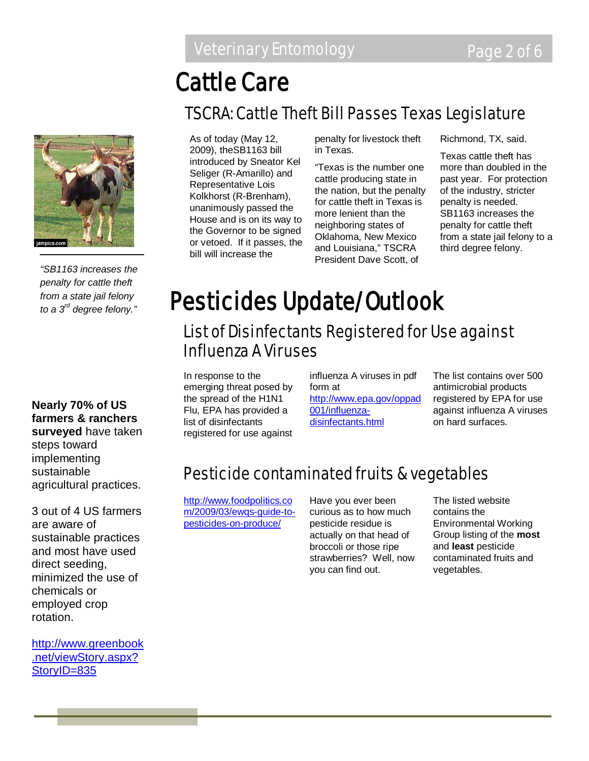## Cattle Care

### TSCRA: Cattle Theft Bill Passes Texas Legislature



*"SB1163 increases the penalty for cattle theft from a state jail felony to a 3rd degree felony."*

**Nearly 70% of US farmers & ranchers surveyed** have taken steps toward implementing sustainable agricultural practices.

3 out of 4 US farmers are aware of sustainable practices and most have used direct seeding, minimized the use of chemicals or employed crop rotation.

[http://www.greenbook](http://www.greenbook.net/viewStory.aspx?StoryID=835) [.net/viewStory.aspx?](http://www.greenbook.net/viewStory.aspx?StoryID=835) [StoryID=835](http://www.greenbook.net/viewStory.aspx?StoryID=835)

As of today (May 12, 2009), theSB1163 bill introduced by Sneator Kel Seliger (R-Amarillo) and Representative Lois Kolkhorst (R-Brenham), unanimously passed the House and is on its way to the Governor to be signed or vetoed. If it passes, the bill will increase the

penalty for livestock theft in Texas.

"Texas is the number one cattle producing state in the nation, but the penalty for cattle theft in Texas is more lenient than the neighboring states of Oklahoma, New Mexico and Louisiana," TSCRA President Dave Scott, of

Richmond, TX, said.

Texas cattle theft has more than doubled in the past year. For protection of the industry, stricter penalty is needed. SB1163 increases the penalty for cattle theft from a state jail felony to a third degree felony.

## Pesticides Update/Outlook

### List of Disinfectants Registered for Use against Influenza A Viruses

In response to the emerging threat posed by the spread of the H1N1 Flu, EPA has provided a list of disinfectants registered for use against

influenza A viruses in pdf form at [http://www.epa.gov/oppad](http://www.epa.gov/oppad001/influenza-disinfectants.html) [001/influenza](http://www.epa.gov/oppad001/influenza-disinfectants.html)[disinfectants.html](http://www.epa.gov/oppad001/influenza-disinfectants.html)

The list contains over 500 antimicrobial products registered by EPA for use against influenza A viruses on hard surfaces.

### Pesticide contaminated fruits & vegetables

[http://www.foodpolitics.co](http://www.foodpolitics.com/2009/03/ewqs-guide-to-pesticides-on-produce/) [m/2009/03/ewqs-guide-to](http://www.foodpolitics.com/2009/03/ewqs-guide-to-pesticides-on-produce/)[pesticides-on-produce/](http://www.foodpolitics.com/2009/03/ewqs-guide-to-pesticides-on-produce/)

Have you ever been curious as to how much pesticide residue is actually on that head of broccoli or those ripe strawberries? Well, now you can find out.

The listed website contains the Environmental Working Group listing of the **most** and **least** pesticide contaminated fruits and vegetables.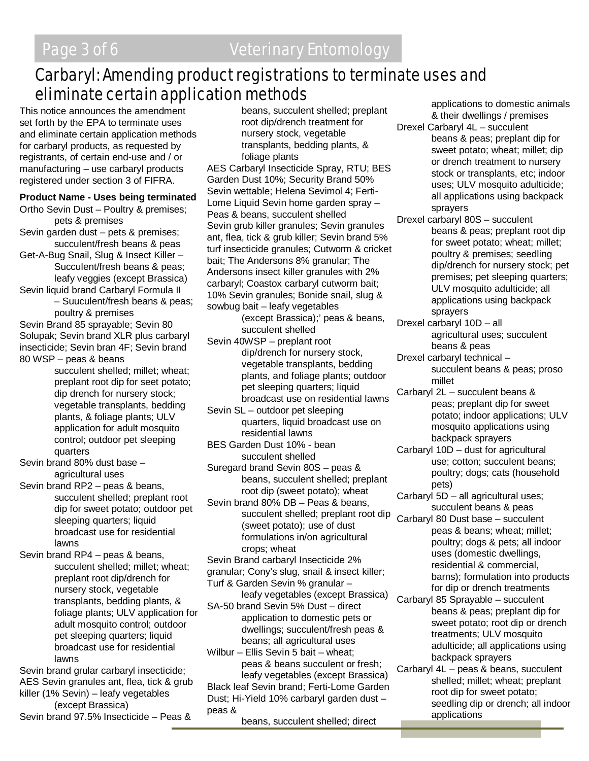### Carbaryl: Amending product registrations to terminate uses and eliminate certain application methods

This notice announces the amendment set forth by the EPA to terminate uses and eliminate certain application methods for carbaryl products, as requested by registrants, of certain end-use and / or manufacturing – use carbaryl products registered under section 3 of FIFRA.

#### **Product Name - Uses being terminated**

Ortho Sevin Dust – Poultry & premises; pets & premises Sevin garden dust – pets & premises;

succulent/fresh beans & peas Get-A-Bug Snail, Slug & Insect Killer – Succulent/fresh beans & peas; leafy veggies (except Brassica)

Sevin liquid brand Carbaryl Formula II – Suuculent/fresh beans & peas;

poultry & premises

Sevin Brand 85 sprayable; Sevin 80 Solupak; Sevin brand XLR plus carbaryl insecticide; Sevin bran 4F; Sevin brand 80 WSP – peas & beans

succulent shelled; millet; wheat; preplant root dip for seet potato; dip drench for nursery stock; vegetable transplants, bedding plants, & foliage plants; ULV application for adult mosquito control; outdoor pet sleeping quarters

Sevin brand 80% dust base – agricultural uses

Sevin brand RP2 – peas & beans, succulent shelled; preplant root dip for sweet potato; outdoor pet sleeping quarters; liquid broadcast use for residential lawns

Sevin brand RP4 – peas & beans, succulent shelled; millet; wheat; preplant root dip/drench for nursery stock, vegetable transplants, bedding plants, & foliage plants; ULV application for adult mosquito control; outdoor pet sleeping quarters; liquid broadcast use for residential lawns

Sevin brand grular carbaryl insecticide; AES Sevin granules ant, flea, tick & grub killer (1% Sevin) – leafy vegetables (except Brassica)

Sevin brand 97.5% Insecticide – Peas &

beans, succulent shelled; preplant root dip/drench treatment for nursery stock, vegetable transplants, bedding plants, & foliage plants

AES Carbaryl Insecticide Spray, RTU; BES Garden Dust 10%; Security Brand 50% Sevin wettable; Helena Sevimol 4; Ferti-Lome Liquid Sevin home garden spray – Peas & beans, succulent shelled Sevin grub killer granules; Sevin granules ant, flea, tick & grub killer; Sevin brand 5% turf insecticide granules; Cutworm & cricket bait; The Andersons 8% granular; The Andersons insect killer granules with 2% carbaryl; Coastox carbaryl cutworm bait; 10% Sevin granules; Bonide snail, slug & sowbug bait – leafy vegetables

(except Brassica);' peas & beans, succulent shelled

- Sevin 40WSP preplant root dip/drench for nursery stock, vegetable transplants, bedding plants, and foliage plants; outdoor pet sleeping quarters; liquid broadcast use on residential lawns
- Sevin SL outdoor pet sleeping quarters, liquid broadcast use on residential lawns
- BES Garden Dust 10% bean succulent shelled
- Suregard brand Sevin 80S peas & beans, succulent shelled; preplant root dip (sweet potato); wheat
- Sevin brand 80% DB Peas & beans, succulent shelled; preplant root dip (sweet potato); use of dust formulations in/on agricultural crops; wheat
- Sevin Brand carbaryl Insecticide 2%
- granular; Cony's slug, snail & insect killer;
- Turf & Garden Sevin % granular –
- leafy vegetables (except Brassica) SA-50 brand Sevin 5% Dust – direct application to domestic pets or dwellings; succulent/fresh peas & beans; all agricultural uses

Wilbur – Ellis Sevin 5 bait – wheat; peas & beans succulent or fresh; leafy vegetables (except Brassica) Black leaf Sevin brand; Ferti-Lome Garden Dust; Hi-Yield 10% carbaryl garden dust – peas &

beans, succulent shelled; direct

applications to domestic animals & their dwellings / premises

Drexel Carbaryl 4L – succulent beans & peas; preplant dip for sweet potato; wheat; millet; dip or drench treatment to nursery stock or transplants, etc; indoor uses; ULV mosquito adulticide; all applications using backpack sprayers

Drexel carbaryl 80S – succulent beans & peas; preplant root dip for sweet potato; wheat; millet; poultry & premises; seedling dip/drench for nursery stock; pet premises; pet sleeping quarters; ULV mosquito adulticide; all applications using backpack sprayers

- Drexel carbaryl 10D all agricultural uses; succulent beans & peas
- Drexel carbaryl technical succulent beans & peas; proso millet
- Carbaryl 2L succulent beans & peas; preplant dip for sweet potato; indoor applications; ULV mosquito applications using backpack sprayers
- Carbaryl 10D dust for agricultural use; cotton; succulent beans; poultry; dogs; cats (household pets)
- Carbaryl 5D all agricultural uses; succulent beans & peas

Carbaryl 80 Dust base – succulent peas & beans; wheat; millet; poultry; dogs & pets; all indoor uses (domestic dwellings, residential & commercial, barns); formulation into products for dip or drench treatments

- Carbaryl 85 Sprayable succulent beans & peas; preplant dip for sweet potato; root dip or drench treatments; ULV mosquito adulticide; all applications using backpack sprayers
- Carbaryl 4L peas & beans, succulent shelled; millet; wheat; preplant root dip for sweet potato; seedling dip or drench; all indoor applications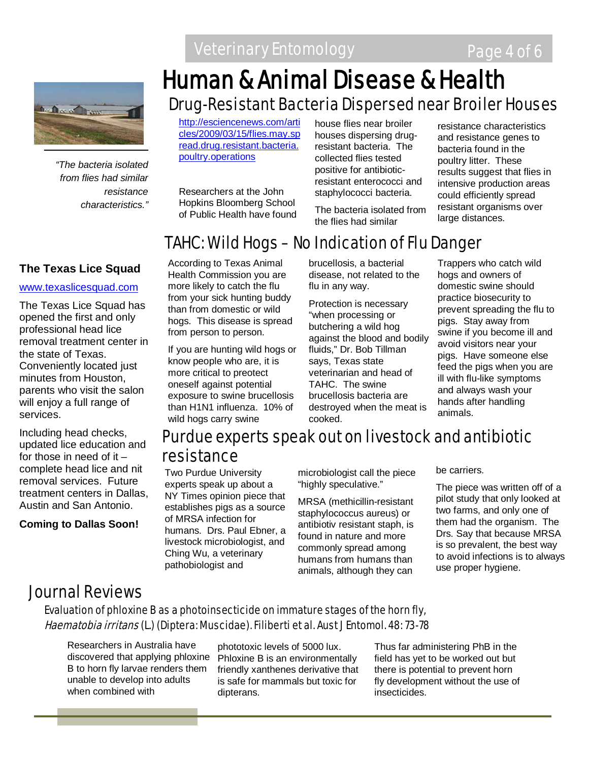

*"The bacteria isolated from flies had similar resistance characteristics."*

### **The Texas Lice Squad**

#### [www.texaslicesquad.com](http://www.texaslicesquad.com/)

The Texas Lice Squad has opened the first and only professional head lice removal treatment center in the state of Texas. Conveniently located just minutes from Houston, parents who visit the salon will enjoy a full range of services.

Including head checks, updated lice education and for those in need of it  $$ complete head lice and nit removal services. Future treatment centers in Dallas, Austin and San Antonio.

**Coming to Dallas Soon!**

## Drug-Resistant Bacteria Dispersed near Broiler Houses Human & Animal Disease & Health

[http://esciencenews.com/arti](http://esciencenews.com/articles/2009/03/15/flies.may.spread.drug.resistant.bacteria.poultry.operations) [cles/2009/03/15/flies.may.sp](http://esciencenews.com/articles/2009/03/15/flies.may.spread.drug.resistant.bacteria.poultry.operations) [read.drug.resistant.bacteria.](http://esciencenews.com/articles/2009/03/15/flies.may.spread.drug.resistant.bacteria.poultry.operations) [poultry.operations](http://esciencenews.com/articles/2009/03/15/flies.may.spread.drug.resistant.bacteria.poultry.operations)

Researchers at the John Hopkins Bloomberg School of Public Health have found house flies near broiler houses dispersing drugresistant bacteria. The collected flies tested positive for antibioticresistant enterococci and staphylococci bacteria.

The bacteria isolated from the flies had similar

resistance characteristics and resistance genes to bacteria found in the poultry litter. These results suggest that flies in intensive production areas could efficiently spread resistant organisms over large distances.

### TAHC: Wild Hogs – No Indication of Flu Danger

According to Texas Animal Health Commission you are more likely to catch the flu from your sick hunting buddy than from domestic or wild hogs. This disease is spread from person to person.

If you are hunting wild hogs or know people who are, it is more critical to preotect oneself against potential exposure to swine brucellosis than H1N1 influenza. 10% of wild hogs carry swine

brucellosis, a bacterial disease, not related to the flu in any way.

Protection is necessary "when processing or butchering a wild hog against the blood and bodily fluids," Dr. Bob Tillman says, Texas state veterinarian and head of TAHC. The swine brucellosis bacteria are destroyed when the meat is cooked.

Trappers who catch wild hogs and owners of domestic swine should practice biosecurity to prevent spreading the flu to pigs. Stay away from swine if you become ill and avoid visitors near your pigs. Have someone else feed the pigs when you are ill with flu-like symptoms and always wash your hands after handling animals.

### Purdue experts speak out on livestock and antibiotic resistance

Two Purdue University experts speak up about a NY Times opinion piece that establishes pigs as a source of MRSA infection for humans. Drs. Paul Ebner, a livestock microbiologist, and Ching Wu, a veterinary pathobiologist and

microbiologist call the piece "highly speculative."

MRSA (methicillin-resistant staphylococcus aureus) or antibiotiv resistant staph, is found in nature and more commonly spread among humans from humans than animals, although they can

be carriers.

The piece was written off of a pilot study that only looked at two farms, and only one of them had the organism. The Drs. Say that because MRSA is so prevalent, the best way to avoid infections is to always use proper hygiene.

### Journal Reviews

### Evaluation of phloxine B as a photoinsecticide on immature stages of the horn fly, Haematobia irritans (L.) (Diptera: Muscidae). Filiberti et al. Aust J Entomol. 48: 73-78

Researchers in Australia have discovered that applying phloxine B to horn fly larvae renders them unable to develop into adults when combined with

phototoxic levels of 5000 lux. Phloxine B is an environmentally friendly xanthenes derivative that is safe for mammals but toxic for dipterans.

Thus far administering PhB in the field has yet to be worked out but there is potential to prevent horn fly development without the use of insecticides.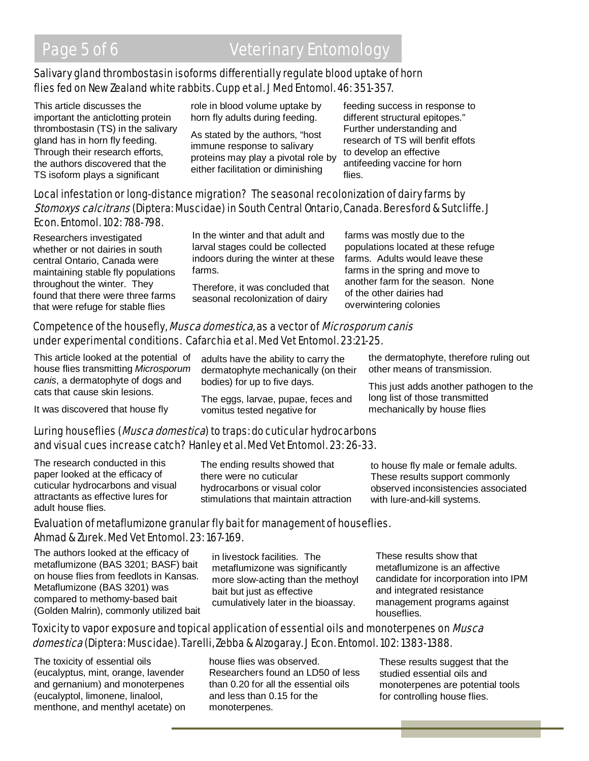### Salivary gland thrombostasin isoforms differentially regulate blood uptake of horn flies fed on New Zealand white rabbits. Cupp et al. J Med Entomol. 46: 351-357.

This article discusses the important the anticlotting protein thrombostasin (TS) in the salivary gland has in horn fly feeding. Through their research efforts, the authors discovered that the TS isoform plays a significant

role in blood volume uptake by horn fly adults during feeding.

As stated by the authors, "host immune response to salivary proteins may play a pivotal role by either facilitation or diminishing

feeding success in response to different structural epitopes." Further understanding and research of TS will benfit effots to develop an effective antifeeding vaccine for horn flies.

#### Local infestation or long-distance migration? The seasonal recolonization of dairy farms by Stomoxys calcitrans (Diptera: Muscidae) in South Central Ontario, Canada. Beresford & Sutcliffe. J Econ. Entomol. 102: 788-798.

Researchers investigated whether or not dairies in south central Ontario, Canada were maintaining stable fly populations throughout the winter. They found that there were three farms that were refuge for stable flies

In the winter and that adult and larval stages could be collected indoors during the winter at these farms.

Therefore, it was concluded that seasonal recolonization of dairy

farms was mostly due to the populations located at these refuge farms. Adults would leave these farms in the spring and move to another farm for the season. None of the other dairies had overwintering colonies

### Competence of the housefly, Musca domestica, as a vector of Microsporum canis under experimental conditions. Cafarchia et al. Med Vet Entomol. 23:21-25.

This article looked at the potential of house flies transmitting *Microsporum canis*, a dermatophyte of dogs and cats that cause skin lesions.

It was discovered that house fly

#### adults have the ability to carry the dermatophyte mechanically (on their bodies) for up to five days.

The eggs, larvae, pupae, feces and vomitus tested negative for

the dermatophyte, therefore ruling out other means of transmission.

This just adds another pathogen to the long list of those transmitted mechanically by house flies

### Luring houseflies (*Musca domestica*) to traps: do cuticular hydrocarbons and visual cues increase catch? Hanley et al. Med Vet Entomol. 23: 26-33.

The research conducted in this paper looked at the efficacy of cuticular hydrocarbons and visual attractants as effective lures for adult house flies.

The ending results showed that there were no cuticular hydrocarbons or visual color stimulations that maintain attraction to house fly male or female adults. These results support commonly observed inconsistencies associated with lure-and-kill systems.

### Evaluation of metaflumizone granular fly bait for management of houseflies. Ahmad & Zurek. Med Vet Entomol. 23: 167-169.

The authors looked at the efficacy of metaflumizone (BAS 3201; BASF) bait on house flies from feedlots in Kansas. Metaflumizone (BAS 3201) was compared to methomy-based bait (Golden Malrin), commonly utilized bait

in livestock facilities. The metaflumizone was significantly more slow-acting than the methoyl bait but just as effective cumulatively later in the bioassay.

These results show that metaflumizone is an affective candidate for incorporation into IPM and integrated resistance management programs against houseflies.

### Toxicity to vapor exposure and topical application of essential oils and monoterpenes on *Musca* domestica (Diptera: Muscidae). Tarelli, Zebba & Alzogaray. J Econ. Entomol. 102: 1383-1388.

The toxicity of essential oils (eucalyptus, mint, orange, lavender and gernanium) and monoterpenes (eucalyptol, limonene, linalool, menthone, and menthyl acetate) on house flies was observed. Researchers found an LD50 of less than 0.20 for all the essential oils and less than 0.15 for the monoterpenes.

These results suggest that the studied essential oils and monoterpenes are potential tools for controlling house flies.